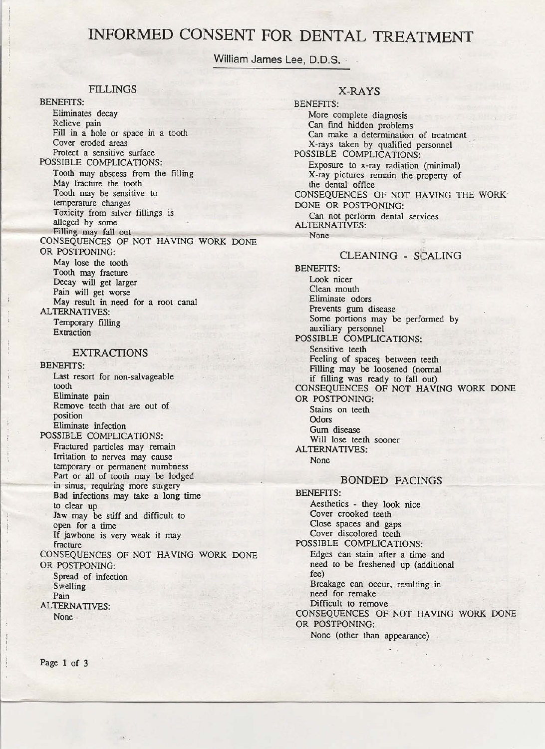# **INFORMED CONSENT FOR DENTAL TREATMENT**

William James Lee, D.D.S.

## FILLINGS

BENEFITS:

Eliminates decay Relieve pain Fill in a hole or space in a tooth Cover eroded areas Protect a sensitive surface

POSSIBLE COMPLICATIONS: Tooth may abscess from the filling May fracture the tooth Tooth may be sensitive to temperature changes Toxicity from silver fillings is alleged by some Filling may fall out CONSEQUENCES OF NOT HAVING WORK DONE OR POSTPONING:

May lose the tooth Tooth may fracture Decay will get larger Pain will get worse May result in need for a root canal ALTERNATIVES: Temporary filling Extraction

### EXTRACTIONS

### BENEHTS:

Last resort for non-salvageable tooth. Eliminate pain Remove teeth that are out of position Eliminate infection

POSSIBLE COMPLICATIONS:

Fractured particles may remain Irritation to nerves may cause temporary or permanent numbness Part or all of tooth may be lodged in sinus, requiring more surgery Bad infections may take a long time to clear up Jaw may be stiff and difficult to open for a time If jawbone is very weak it may fracture CONSEQUENCES OF NOT HAVING WORK DONE OR POSTPONING: Spread of infection Swelling Pain ALTERNATIVES: None·

## X-RAYS

BENEFITS: More complete diagnosis Can find hidden problems Can make a determination of treatment X-rays taken by qualified personnel POSSIBLE COMPLICATIONS: Exposure to x-ray radiation (minimal) X-ray pictures remain the property of the dental office CONSEQUENCES OF NOT HAVING THE WORK DONE OR POSTPONING: Can not perform dental services ALTERNATIVES: None CLEANING - SCALING BENEFITS: Look nicer Clean mouth Eliminate odors Prevents gum disease Some portions may be performed by

auxiliary personnel POSSIBLE COMPLICATIONS: Sensitive teeth Feeling of spaces between teeth Filling may be loosened (normal if filling was ready to fall out) CONSEQUENCES OF NOT HAVING WORK DONE OR POSTPONING:

Stains on teeth **Odors** Gum disease Will lose teeth sooner ALTERNATIVES: None

### BONDED FACINGS

BENEFITS: Aesthetics - they look nice Cover crooked teeth Close spaces and gaps Cover discolored teeth POSSIBLE COMPLICATIONS: Edges can stain after a time and need to be freshened up (additional fee) Breakage can occur, resulting in need for remake Difficult to remove CONSEQUENCES OF NOT HAVING WORK DONE OR POSTPONING: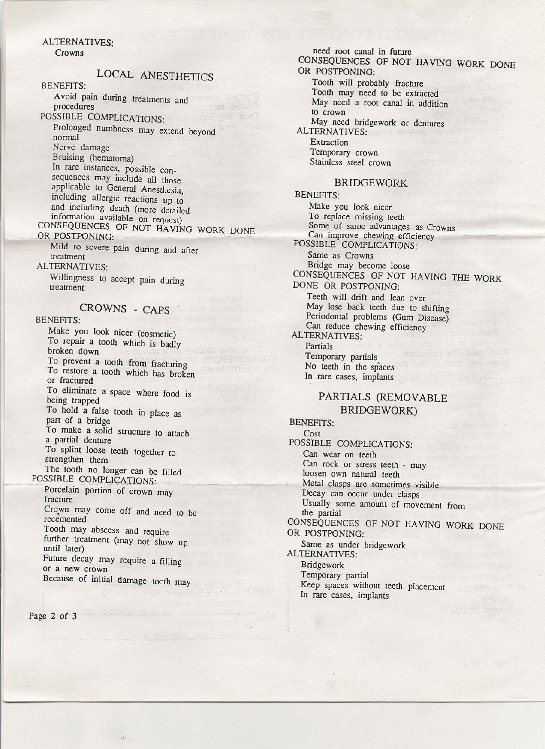## ALTERNATIYES:

Crowns

## LOCAL ANESTHETICS

### BENEFITS:

Avoid pain during treatments and ' procedures

## POSSIBLE COMPLICATIONS:

Prolonged numbness may extend beyond normal Nerve damage

Bruising (hematoma) In rare instances, possible consequences may include all those applicable to General Anesthesia, including allergic reactions up to and including death (more detailed information available on request)

#### CONSEQUENCES OF NOT HAVING WORK DONE OR POSTPONING:

Mild to severe pain during and after treatment

## ALTERNATIYES:

Willingness to accept pain during treatment

## CROWNS - CAPS

### BENEFITS:

Make you look nicer (cosmetic) To repair a tooth which is badly broken down To prevent a tooth from fracturing To restore a tooth which has broken or fractured To eliminate a space where food is being trapped To hold a false tooth in place as part of a bridge To make a solid structure to attach a partial denture To splint loose teeth together to strengthen them

The tooth no longer can be filled POSSIBLE COMPLICATIONS:

Porcelain portion of crown may fracture

Crown may come off and need to be recemented

Tooth may abscess and require further treatment (may not show up until later)

Future decay may require a filling or a new crown

Because of initial damage tooth may

need root canal in future CONSEQUENCES OF NOT HAVING WORK DONE OR POSTPONING: Tooth will probably fracture Tooth may need to be extracted May need a root canal in addition

to crown

May need bridgework or dentures ALTERNATIVES:

Extraction Temporary crown Stainless steel crown

## BRIDGEWORK

BENEFITS: Make you look nicer To replace missing teeth Some of same advantages as Crowns Can improve chewing efficiency POSSIBLE COMPLICATIONS: Same as Crowns Bridge may become loose CONSEQUENCES OF NOT HAVING THE WORK DONE OR POSTPONING: Teeth will drift and lean over May lose back teeth due to shifting Periodontal problems (Gum Disease) Can reduce chewing efficiency ALTERNATIVES: Partials

Temporary partials No teeth in the spaces In rare cases, implants

## PARTIALS (REMOVABLE BRIDGEWORK)

BENEFITS: Cost POSSIBLE COMPLICATIONS: Can wear on teeth Can rock or stress teeth - may loosen own natural teeth Metal clasps are sometimes visible Decay can occur under clasps Usually some amount of movement from the partial CONSEQUENCES OF NOT HAVING WORK DONE OR POSTPONING: Same as under bridgework ALTERNATIVES: Bridgework Temporary partial Keep spaces without teeth placement In rare cases, implants